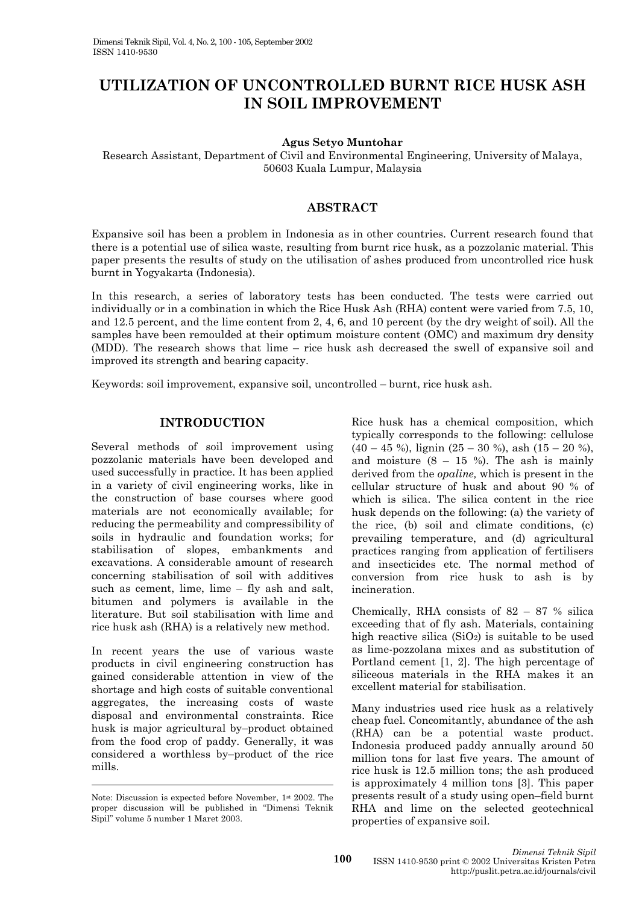# **UTILIZATION OF UNCONTROLLED BURNT RICE HUSK ASH IN SOIL IMPROVEMENT**

**Agus Setyo Muntohar** 

Research Assistant, Department of Civil and Environmental Engineering, University of Malaya, 50603 Kuala Lumpur, Malaysia

# **ABSTRACT**

Expansive soil has been a problem in Indonesia as in other countries. Current research found that there is a potential use of silica waste, resulting from burnt rice husk, as a pozzolanic material. This paper presents the results of study on the utilisation of ashes produced from uncontrolled rice husk burnt in Yogyakarta (Indonesia).

In this research, a series of laboratory tests has been conducted. The tests were carried out individually or in a combination in which the Rice Husk Ash (RHA) content were varied from 7.5, 10, and 12.5 percent, and the lime content from 2, 4, 6, and 10 percent (by the dry weight of soil). All the samples have been remoulded at their optimum moisture content (OMC) and maximum dry density (MDD). The research shows that lime – rice husk ash decreased the swell of expansive soil and improved its strength and bearing capacity.

Keywords: soil improvement, expansive soil, uncontrolled – burnt, rice husk ash.

## **INTRODUCTION**

Several methods of soil improvement using pozzolanic materials have been developed and used successfully in practice. It has been applied in a variety of civil engineering works, like in the construction of base courses where good materials are not economically available; for reducing the permeability and compressibility of soils in hydraulic and foundation works; for stabilisation of slopes, embankments and excavations. A considerable amount of research concerning stabilisation of soil with additives such as cement, lime, lime – fly ash and salt, bitumen and polymers is available in the literature. But soil stabilisation with lime and rice husk ash (RHA) is a relatively new method.

In recent years the use of various waste products in civil engineering construction has gained considerable attention in view of the shortage and high costs of suitable conventional aggregates, the increasing costs of waste disposal and environmental constraints. Rice husk is major agricultural by–product obtained from the food crop of paddy. Generally, it was considered a worthless by–product of the rice mills.

Rice husk has a chemical composition, which typically corresponds to the following: cellulose  $(40 - 45 \%)$ , lignin  $(25 - 30 \%)$ , ash  $(15 - 20 \%)$ , and moisture  $(8 - 15 \%)$ . The ash is mainly derived from the *opaline,* which is present in the cellular structure of husk and about 90 % of which is silica. The silica content in the rice husk depends on the following: (a) the variety of the rice, (b) soil and climate conditions, (c) prevailing temperature, and (d) agricultural practices ranging from application of fertilisers and insecticides etc. The normal method of conversion from rice husk to ash is by incineration.

Chemically, RHA consists of  $82 - 87$  % silica exceeding that of fly ash. Materials, containing high reactive silica  $(SiO<sub>2</sub>)$  is suitable to be used as lime-pozzolana mixes and as substitution of Portland cement [1, 2]. The high percentage of siliceous materials in the RHA makes it an excellent material for stabilisation.

Many industries used rice husk as a relatively cheap fuel. Concomitantly, abundance of the ash (RHA) can be a potential waste product. Indonesia produced paddy annually around 50 million tons for last five years. The amount of rice husk is 12.5 million tons; the ash produced is approximately 4 million tons [3]. This paper presents result of a study using open–field burnt RHA and lime on the selected geotechnical properties of expansive soil.

Note: Discussion is expected before November, 1st 2002. The proper discussion will be published in "Dimensi Teknik Sipil" volume 5 number 1 Maret 2003.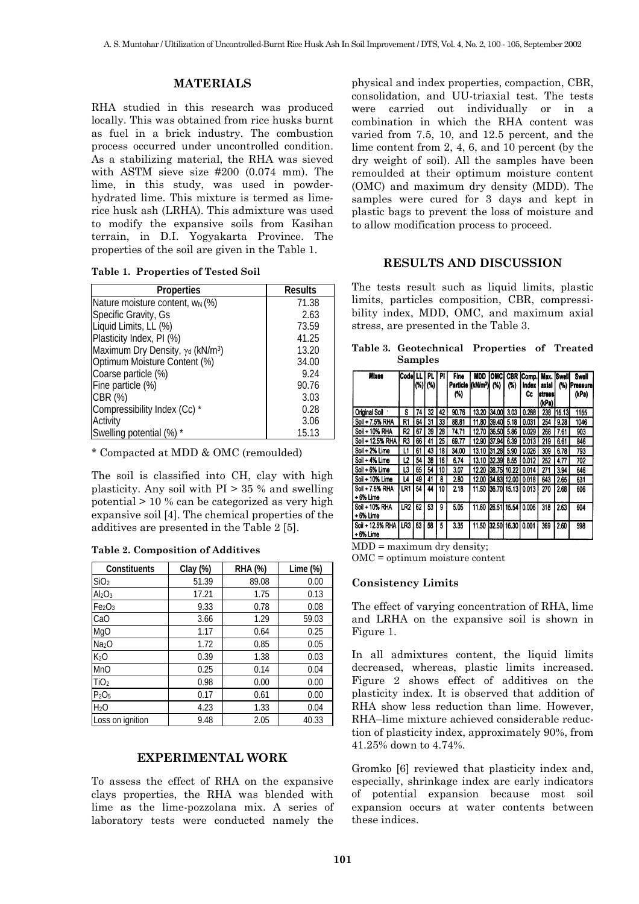### **MATERIALS**

RHA studied in this research was produced locally. This was obtained from rice husks burnt as fuel in a brick industry. The combustion process occurred under uncontrolled condition. As a stabilizing material, the RHA was sieved with ASTM sieve size #200 (0.074 mm). The lime, in this study, was used in powderhydrated lime. This mixture is termed as limerice husk ash (LRHA). This admixture was used to modify the expansive soils from Kasihan terrain, in D.I. Yogyakarta Province. The properties of the soil are given in the Table 1.

**Table 1. Properties of Tested Soil** 

| <b>Properties</b>                            | <b>Results</b> |  |  |  |
|----------------------------------------------|----------------|--|--|--|
| Nature moisture content, w <sub>N</sub> (%)  | 71.38          |  |  |  |
| Specific Gravity, Gs                         | 2.63           |  |  |  |
| Liquid Limits, LL (%)                        | 73.59          |  |  |  |
| Plasticity Index, PI (%)                     | 41.25          |  |  |  |
| Maximum Dry Density, γα (kN/m <sup>3</sup> ) | 13.20          |  |  |  |
| Optimum Moisture Content (%)                 | 34.00          |  |  |  |
| Coarse particle (%)                          | 9.24           |  |  |  |
| Fine particle (%)                            | 90.76          |  |  |  |
| CBR (%)                                      | 3.03           |  |  |  |
| Compressibility Index (Cc) *                 | 0.28           |  |  |  |
| Activity                                     | 3.06           |  |  |  |
| Swelling potential (%) *                     | 15.13          |  |  |  |

\* Compacted at MDD & OMC (remoulded)

The soil is classified into CH, clay with high plasticity. Any soil with  $PI > 35$  % and swelling potential > 10 % can be categorized as very high expansive soil [4]. The chemical properties of the additives are presented in the Table 2 [5].

| <b>Table 2. Composition of Additives</b> |
|------------------------------------------|
|------------------------------------------|

| Constituents                   | Clay (%) | RHA (%) | Lime $(\%)$ |  |  |
|--------------------------------|----------|---------|-------------|--|--|
| SiO <sub>2</sub>               | 51.39    | 89.08   | 0.00        |  |  |
| Al <sub>2</sub> O <sub>3</sub> | 17.21    | 1.75    | 0.13        |  |  |
| Fe <sub>2</sub> O <sub>3</sub> | 9.33     | 0.78    | 0.08        |  |  |
| CaO                            | 3.66     | 1.29    | 59.03       |  |  |
| MgO                            | 1.17     | 0.64    | 0.25        |  |  |
| Na <sub>2</sub> O              | 1.72     | 0.85    | 0.05        |  |  |
| K <sub>2</sub> O               | 0.39     | 1.38    | 0.03        |  |  |
| <b>MnO</b>                     | 0.25     | 0.14    | 0.04        |  |  |
| TiO <sub>2</sub>               | 0.98     | 0.00    | 0.00        |  |  |
| P <sub>2</sub> O <sub>5</sub>  | 0.17     | 0.61    | 0.00        |  |  |
| H <sub>2</sub> O               | 4.23     | 1.33    | 0.04        |  |  |
| Loss on ignition               | 9.48     | 2.05    | 40.33       |  |  |

## **EXPERIMENTAL WORK**

To assess the effect of RHA on the expansive clays properties, the RHA was blended with lime as the lime-pozzolana mix. A series of laboratory tests were conducted namely the physical and index properties, compaction, CBR, consolidation, and UU-triaxial test. The tests were carried out individually or in a combination in which the RHA content was varied from 7.5, 10, and 12.5 percent, and the lime content from 2, 4, 6, and 10 percent (by the dry weight of soil). All the samples have been remoulded at their optimum moisture content (OMC) and maximum dry density (MDD). The samples were cured for 3 days and kept in plastic bags to prevent the loss of moisture and to allow modification process to proceed.

### **RESULTS AND DISCUSSION**

The tests result such as liquid limits, plastic limits, particles composition, CBR, compressibility index, MDD, OMC, and maximum axial stress, are presented in the Table 3.

| Table 3. Geotechnical Properties of Treated |  |  |
|---------------------------------------------|--|--|
| <b>Samples</b>                              |  |  |

| Mixes                          | lCodel Ll       |    | PL         | PI | Fine            | MDD.                    | OMCI         |     | <b>CBR</b> Comp.        | Max. Swell                 |        | Swall             |
|--------------------------------|-----------------|----|------------|----|-----------------|-------------------------|--------------|-----|-------------------------|----------------------------|--------|-------------------|
|                                |                 |    | $(\%)$ (%) |    | Particle<br>(%) | (kN/m <sup>3</sup> )    | (%)          | (%) | <b>Index</b><br>Cc      | axial<br>istressi<br>(kPa) | (%)    | Pressure<br>(kPa) |
| Original Soil                  | s               | 74 | 32         | 42 | 90.76           | 13.20                   | 134,001 3.03 |     | 0.288                   | 238                        | 15.13  | 1155              |
| Soil + 7.5% RHA                | R1              | 64 | 31         | 33 | 88.81           |                         |              |     | 11.80 39.40 5.18 0.031  | 254                        | 9.28   | 1046              |
| Soil + 10% RHA                 | R2              | 67 | 39         | 28 | 74.71           |                         |              |     | 12.70 36.50 5.86 0.029  | 268                        | 7.61   | 903               |
| Soil + 12.5% RHA               | R3              | 66 | 41         | 25 | 69.77           |                         |              |     | 12.90 37.94 6.39 0.013  | 219                        | 6.61   | 846               |
| Soil + 2% Lime                 |                 | 61 | 43         | 18 | 34.00           |                         |              |     | 13.10 31.28 5.90 0.026  | 309                        | 6.78   | 793               |
| Soil + 4% Lime                 | L2              | 54 | 38         | 16 | 6.74            |                         |              |     | 13.10 32.39 8.55 0.012  | 252                        | 4.77   | 702               |
| Soil + 6% Lime                 | L3              | 65 | 54         | 10 | 3.07            |                         |              |     | 12.20 38.75 10.22 0.014 | 271                        | 3.94   | 646               |
| Soil + 10% Lime                | L4              | 49 | 41         | 8  | 2.80            |                         |              |     | 12.00 34.83 12.00 0.018 | 643                        | l 2.65 | 631               |
| Soil + 7.5% RHA<br>$+6%$ Lime  | LR1             | 54 | 44         | 10 | 2.18            |                         |              |     | 11.50 36.70 15.13 0.013 | 270                        | 2.68   | 606               |
| Soil + 10% RHA<br>+6% Lime     | LR <sub>2</sub> | 62 | 53         | 9  | 5.05            | 11.60 26.51 15.54 0.006 |              |     |                         | 318                        | 2.63   | 604               |
| Soil + 12.5% RHA I<br>+6% Lime | LR3             | 63 | 58         | 5  | 3.35            | 11.50 32.50 16.30       |              |     | 0.001                   | 369                        | 2.60   | 598               |

 $MDD =$  maximum dry density;

OMC = optimum moisture content

#### **Consistency Limits**

The effect of varying concentration of RHA, lime and LRHA on the expansive soil is shown in Figure 1.

In all admixtures content, the liquid limits decreased, whereas, plastic limits increased. Figure 2 shows effect of additives on the plasticity index. It is observed that addition of RHA show less reduction than lime. However, RHA–lime mixture achieved considerable reduction of plasticity index, approximately 90%, from 41.25% down to 4.74%.

Gromko [6] reviewed that plasticity index and, especially, shrinkage index are early indicators of potential expansion because most soil expansion occurs at water contents between these indices.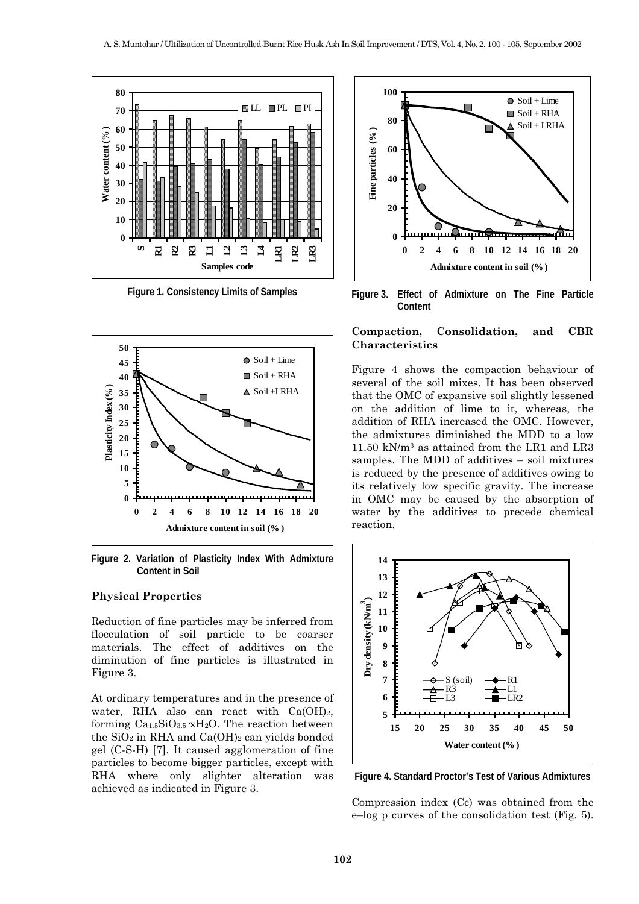

**Figure 1. Consistency Limits of Samples** 



**Figure 2. Variation of Plasticity Index With Admixture Content in Soil** 

#### **Physical Properties**

Reduction of fine particles may be inferred from flocculation of soil particle to be coarser materials. The effect of additives on the diminution of fine particles is illustrated in Figure 3.

At ordinary temperatures and in the presence of water, RHA also can react with  $Ca(OH)_2$ , forming  $Ca_{1.5}SiO_{3.5}xH_2O$ . The reaction between the  $SiO<sub>2</sub>$  in RHA and  $Ca(OH)<sub>2</sub>$  can yields bonded gel (C-S-H) [7]. It caused agglomeration of fine particles to become bigger particles, except with RHA where only slighter alteration was achieved as indicated in Figure 3.



**Figure 3. Effect of Admixture on The Fine Particle Content** 

## **Compaction, Consolidation, and CBR Characteristics**

Figure 4 shows the compaction behaviour of several of the soil mixes. It has been observed that the OMC of expansive soil slightly lessened on the addition of lime to it, whereas, the addition of RHA increased the OMC. However, the admixtures diminished the MDD to a low 11.50 kN/m3 as attained from the LR1 and LR3 samples. The MDD of additives – soil mixtures is reduced by the presence of additives owing to its relatively low specific gravity. The increase in OMC may be caused by the absorption of water by the additives to precede chemical reaction.



**Figure 4. Standard Proctor's Test of Various Admixtures** 

Compression index (Cc) was obtained from the e–log p curves of the consolidation test (Fig. 5).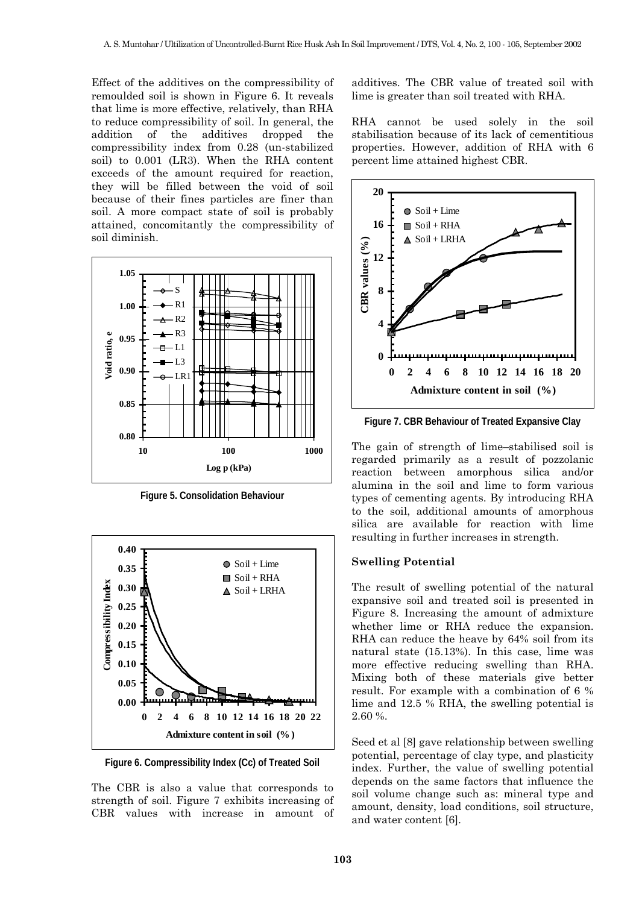Effect of the additives on the compressibility of remoulded soil is shown in Figure 6. It reveals that lime is more effective, relatively, than RHA to reduce compressibility of soil. In general, the addition of the additives dropped the compressibility index from 0.28 (un-stabilized soil) to 0.001 (LR3). When the RHA content exceeds of the amount required for reaction, they will be filled between the void of soil because of their fines particles are finer than soil. A more compact state of soil is probably attained, concomitantly the compressibility of soil diminish.



**Figure 5. Consolidation Behaviour** 



**Figure 6. Compressibility Index (Cc) of Treated Soil** 

The CBR is also a value that corresponds to strength of soil. Figure 7 exhibits increasing of CBR values with increase in amount of additives. The CBR value of treated soil with lime is greater than soil treated with RHA.

RHA cannot be used solely in the soil stabilisation because of its lack of cementitious properties. However, addition of RHA with 6 percent lime attained highest CBR.



**Figure 7. CBR Behaviour of Treated Expansive Clay** 

The gain of strength of lime–stabilised soil is regarded primarily as a result of pozzolanic reaction between amorphous silica and/or alumina in the soil and lime to form various types of cementing agents. By introducing RHA to the soil, additional amounts of amorphous silica are available for reaction with lime resulting in further increases in strength.

## **Swelling Potential**

The result of swelling potential of the natural expansive soil and treated soil is presented in Figure 8. Increasing the amount of admixture whether lime or RHA reduce the expansion. RHA can reduce the heave by 64% soil from its natural state (15.13%). In this case, lime was more effective reducing swelling than RHA. Mixing both of these materials give better result. For example with a combination of 6 % lime and 12.5 % RHA, the swelling potential is 2.60 %.

Seed et al [8] gave relationship between swelling potential, percentage of clay type, and plasticity index. Further, the value of swelling potential depends on the same factors that influence the soil volume change such as: mineral type and amount, density, load conditions, soil structure, and water content [6].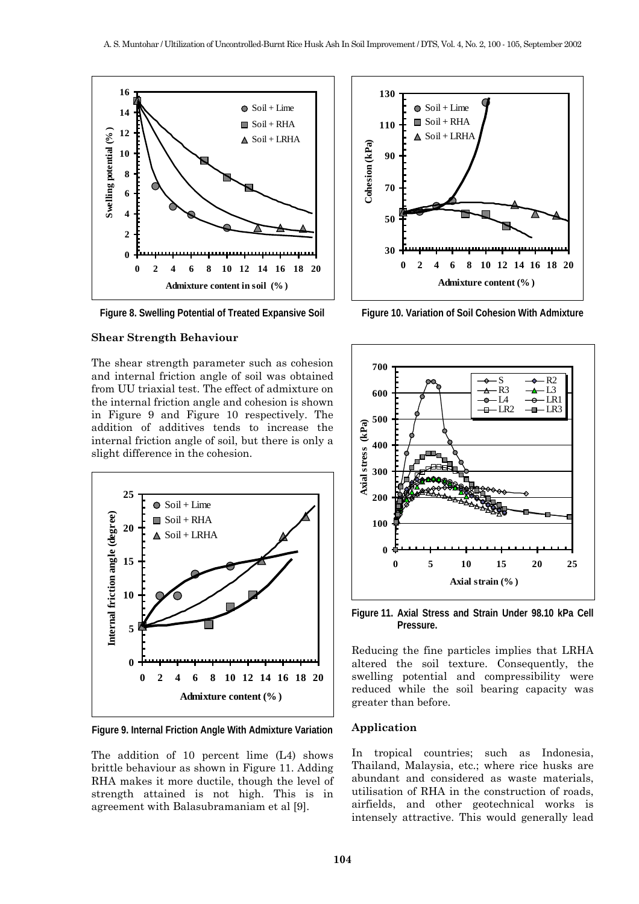

**Figure 8. Swelling Potential of Treated Expansive Soil** 

### **Shear Strength Behaviour**

The shear strength parameter such as cohesion and internal friction angle of soil was obtained from UU triaxial test. The effect of admixture on the internal friction angle and cohesion is shown in Figure 9 and Figure 10 respectively. The addition of additives tends to increase the internal friction angle of soil, but there is only a slight difference in the cohesion.



**Figure 9. Internal Friction Angle With Admixture Variation** 

The addition of 10 percent lime (L4) shows brittle behaviour as shown in Figure 11. Adding RHA makes it more ductile, though the level of strength attained is not high. This is in agreement with Balasubramaniam et al [9].



**Figure 10. Variation of Soil Cohesion With Admixture** 



**Figure 11. Axial Stress and Strain Under 98.10 kPa Cell Pressure.** 

Reducing the fine particles implies that LRHA altered the soil texture. Consequently, the swelling potential and compressibility were reduced while the soil bearing capacity was greater than before.

#### **Application**

In tropical countries; such as Indonesia, Thailand, Malaysia, etc.; where rice husks are abundant and considered as waste materials, utilisation of RHA in the construction of roads, airfields, and other geotechnical works is intensely attractive. This would generally lead